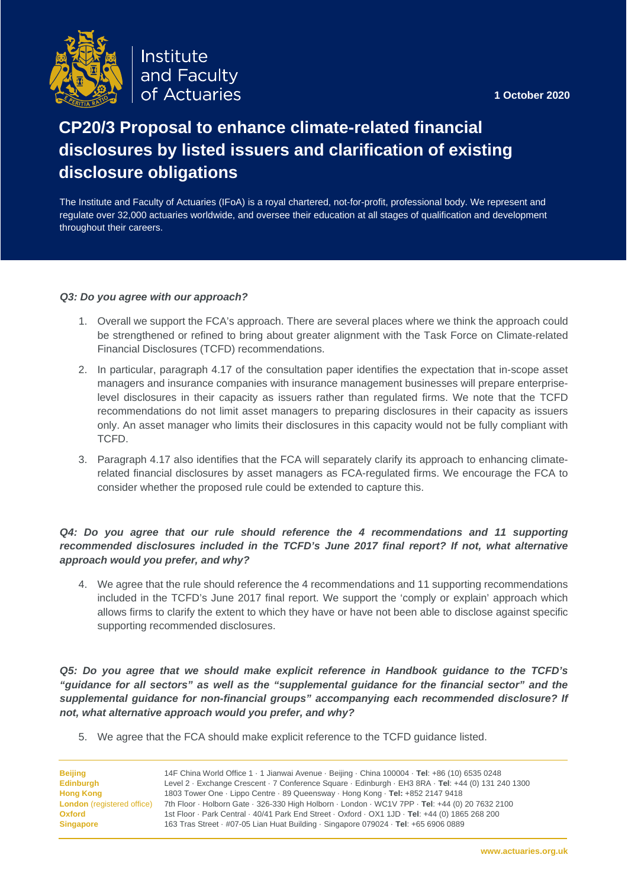**1 October 2020**



Institute and Faculty of Actuaries

# **CP20/3 Proposal to enhance climate-related financial disclosures by listed issuers and clarification of existing disclosure obligations**

The Institute and Faculty of Actuaries (IFoA) is a royal chartered, not-for-profit, professional body. We represent and regulate over 32,000 actuaries worldwide, and oversee their education at all stages of qualification and development throughout their careers.

## *Q3: Do you agree with our approach?*

- 1. Overall we support the FCA's approach. There are several places where we think the approach could be strengthened or refined to bring about greater alignment with the Task Force on Climate-related Financial Disclosures (TCFD) recommendations.
- 2. In particular, paragraph 4.17 of the consultation paper identifies the expectation that in-scope asset managers and insurance companies with insurance management businesses will prepare enterpriselevel disclosures in their capacity as issuers rather than regulated firms. We note that the TCFD recommendations do not limit asset managers to preparing disclosures in their capacity as issuers only. An asset manager who limits their disclosures in this capacity would not be fully compliant with TCFD.
- 3. Paragraph 4.17 also identifies that the FCA will separately clarify its approach to enhancing climaterelated financial disclosures by asset managers as FCA-regulated firms. We encourage the FCA to consider whether the proposed rule could be extended to capture this.

# *Q4: Do you agree that our rule should reference the 4 recommendations and 11 supporting recommended disclosures included in the TCFD's June 2017 final report? If not, what alternative approach would you prefer, and why?*

4. We agree that the rule should reference the 4 recommendations and 11 supporting recommendations included in the TCFD's June 2017 final report. We support the 'comply or explain' approach which allows firms to clarify the extent to which they have or have not been able to disclose against specific supporting recommended disclosures.

*Q5: Do you agree that we should make explicit reference in Handbook guidance to the TCFD's "guidance for all sectors" as well as the "supplemental guidance for the financial sector" and the supplemental guidance for non-financial groups" accompanying each recommended disclosure? If not, what alternative approach would you prefer, and why?*

5. We agree that the FCA should make explicit reference to the TCFD guidance listed.

| Beijing                           | 14F China World Office 1 · 1 Jianwai Avenue · Beijing · China 100004 · Tel: +86 (10) 6535 0248      |
|-----------------------------------|-----------------------------------------------------------------------------------------------------|
| Edinburgh                         | Level 2 · Exchange Crescent · 7 Conference Square · Edinburgh · EH3 8RA · Tel: +44 (0) 131 240 1300 |
| <b>Hong Kong</b>                  | 1803 Tower One · Lippo Centre · 89 Queensway · Hong Kong · Tel: +852 2147 9418                      |
| <b>London</b> (registered office) | 7th Floor · Holborn Gate · 326-330 High Holborn · London · WC1V 7PP · Tel: +44 (0) 20 7632 2100     |
| Oxford                            | 1st Floor · Park Central · 40/41 Park End Street · Oxford · OX1 1JD · Tel: +44 (0) 1865 268 200     |
| <b>Singapore</b>                  | 163 Tras Street · #07-05 Lian Huat Building · Singapore 079024 · Tel: +65 6906 0889                 |
|                                   |                                                                                                     |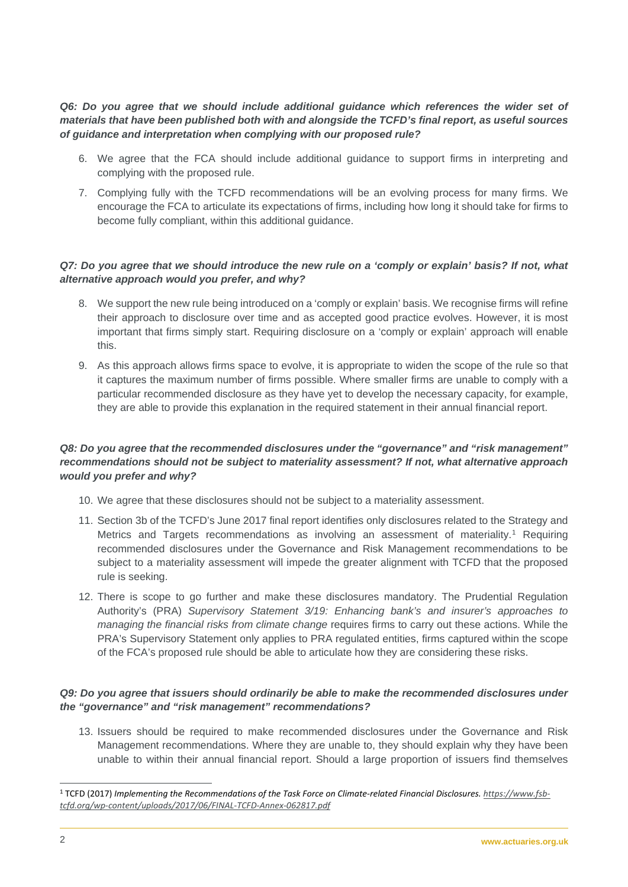*Q6: Do you agree that we should include additional guidance which references the wider set of materials that have been published both with and alongside the TCFD's final report, as useful sources of guidance and interpretation when complying with our proposed rule?*

- 6. We agree that the FCA should include additional guidance to support firms in interpreting and complying with the proposed rule.
- 7. Complying fully with the TCFD recommendations will be an evolving process for many firms. We encourage the FCA to articulate its expectations of firms, including how long it should take for firms to become fully compliant, within this additional guidance.

# *Q7: Do you agree that we should introduce the new rule on a 'comply or explain' basis? If not, what alternative approach would you prefer, and why?*

- 8. We support the new rule being introduced on a 'comply or explain' basis. We recognise firms will refine their approach to disclosure over time and as accepted good practice evolves. However, it is most important that firms simply start. Requiring disclosure on a 'comply or explain' approach will enable this.
- 9. As this approach allows firms space to evolve, it is appropriate to widen the scope of the rule so that it captures the maximum number of firms possible. Where smaller firms are unable to comply with a particular recommended disclosure as they have yet to develop the necessary capacity, for example, they are able to provide this explanation in the required statement in their annual financial report.

# *Q8: Do you agree that the recommended disclosures under the "governance" and "risk management" recommendations should not be subject to materiality assessment? If not, what alternative approach would you prefer and why?*

- 10. We agree that these disclosures should not be subject to a materiality assessment.
- 11. Section 3b of the TCFD's June 2017 final report identifies only disclosures related to the Strategy and Metrics and Targets recommendations as involving an assessment of materiality.<sup>[1](#page-2-0)</sup> Requiring recommended disclosures under the Governance and Risk Management recommendations to be subject to a materiality assessment will impede the greater alignment with TCFD that the proposed rule is seeking.
- 12. There is scope to go further and make these disclosures mandatory. The Prudential Regulation Authority's (PRA) *Supervisory Statement 3/19: Enhancing bank's and insurer's approaches to managing the financial risks from climate change* requires firms to carry out these actions. While the PRA's Supervisory Statement only applies to PRA regulated entities, firms captured within the scope of the FCA's proposed rule should be able to articulate how they are considering these risks.

## *Q9: Do you agree that issuers should ordinarily be able to make the recommended disclosures under the "governance" and "risk management" recommendations?*

13. Issuers should be required to make recommended disclosures under the Governance and Risk Management recommendations. Where they are unable to, they should explain why they have been unable to within their annual financial report. Should a large proportion of issuers find themselves

 $\overline{a}$ <sup>1</sup> TCFD (2017) *Implementing the Recommendations of the Task Force on Climate-related Financial Disclosures[. https://www.fsb](https://www.fsb-tcfd.org/wp-content/uploads/2017/06/FINAL-TCFD-Annex-062817.pdf)[tcfd.org/wp-content/uploads/2017/06/FINAL-TCFD-Annex-062817.pdf](https://www.fsb-tcfd.org/wp-content/uploads/2017/06/FINAL-TCFD-Annex-062817.pdf)*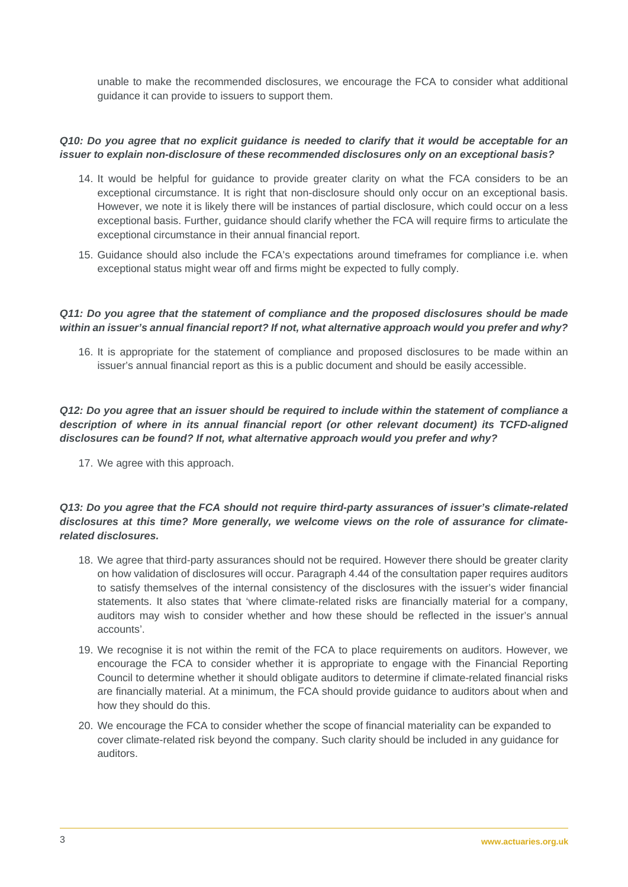unable to make the recommended disclosures, we encourage the FCA to consider what additional guidance it can provide to issuers to support them.

#### *Q10: Do you agree that no explicit guidance is needed to clarify that it would be acceptable for an issuer to explain non-disclosure of these recommended disclosures only on an exceptional basis?*

- 14. It would be helpful for guidance to provide greater clarity on what the FCA considers to be an exceptional circumstance. It is right that non-disclosure should only occur on an exceptional basis. However, we note it is likely there will be instances of partial disclosure, which could occur on a less exceptional basis. Further, guidance should clarify whether the FCA will require firms to articulate the exceptional circumstance in their annual financial report.
- 15. Guidance should also include the FCA's expectations around timeframes for compliance i.e. when exceptional status might wear off and firms might be expected to fully comply.

#### *Q11: Do you agree that the statement of compliance and the proposed disclosures should be made within an issuer's annual financial report? If not, what alternative approach would you prefer and why?*

16. It is appropriate for the statement of compliance and proposed disclosures to be made within an issuer's annual financial report as this is a public document and should be easily accessible.

# *Q12: Do you agree that an issuer should be required to include within the statement of compliance a description of where in its annual financial report (or other relevant document) its TCFD-aligned disclosures can be found? If not, what alternative approach would you prefer and why?*

17. We agree with this approach.

# *Q13: Do you agree that the FCA should not require third-party assurances of issuer's climate-related disclosures at this time? More generally, we welcome views on the role of assurance for climaterelated disclosures.*

- 18. We agree that third-party assurances should not be required. However there should be greater clarity on how validation of disclosures will occur. Paragraph 4.44 of the consultation paper requires auditors to satisfy themselves of the internal consistency of the disclosures with the issuer's wider financial statements. It also states that 'where climate-related risks are financially material for a company, auditors may wish to consider whether and how these should be reflected in the issuer's annual accounts'.
- 19. We recognise it is not within the remit of the FCA to place requirements on auditors. However, we encourage the FCA to consider whether it is appropriate to engage with the Financial Reporting Council to determine whether it should obligate auditors to determine if climate-related financial risks are financially material. At a minimum, the FCA should provide guidance to auditors about when and how they should do this.
- <span id="page-2-0"></span>20. We encourage the FCA to consider whether the scope of financial materiality can be expanded to cover climate-related risk beyond the company. Such clarity should be included in any guidance for auditors.